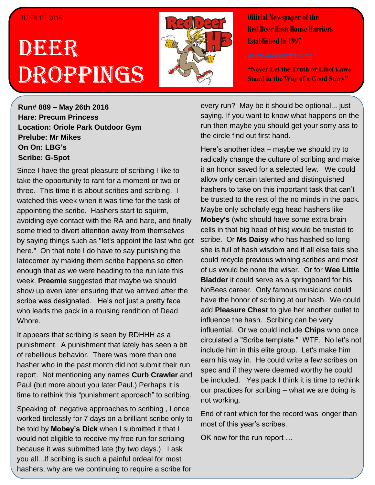#### **JUNE 1ST 2016**

# DEER Droppings



**Official Newspaper of the Red Deer Hash House Harriers Established In 1997** 

**"Never Let the Truth or Libel Laws Stand in the Way of a Good Story"**

**Run# 889 – May 26th 2016 Hare: Precum Princess Location: Oriole Park Outdoor Gym Prelube: Mr Mikes On On: LBG's Scribe: G-Spot**

Since I have the great pleasure of scribing I like to take the opportunity to rant for a moment or two or three. This time it is about scribes and scribing. I watched this week when it was time for the task of appointing the scribe. Hashers start to squirm, avoiding eye contact with the RA and hare, and finally some tried to divert attention away from themselves by saying things such as "let's appoint the last who got here." On that note I do have to say punishing the latecomer by making them scribe happens so often enough that as we were heading to the run late this week, **Preemie** suggested that maybe we should show up even later ensuring that we arrived after the scribe was designated. He's not just a pretty face who leads the pack in a rousing rendition of Dead Whore.

It appears that scribing is seen by RDHHH as a punishment. A punishment that lately has seen a bit of rebellious behavior. There was more than one hasher who in the past month did not submit their run report. Not mentioning any names **Curb Crawler** and Paul (but more about you later Paul.) Perhaps it is time to rethink this "punishment approach" to scribing.

hashers, why are we continuing to require a scribe for<br>. Speaking of negative approaches to scribing , I once worked tirelessly for 7 days on a brilliant scribe only to be told by **Mobey's Dick** when I submitted it that I would not eligible to receive my free run for scribing because it was submitted late (by two days.) I ask you all...If scribing is such a painful ordeal for most

every run? May be it should be optional... just saying. If you want to know what happens on the run then maybe you should get your sorry ass to the circle find out first hand.

Here's another idea – maybe we should try to radically change the culture of scribing and make it an honor saved for a selected few. We could allow only certain talented and distinguished hashers to take on this important task that can't be trusted to the rest of the no minds in the pack. Maybe only scholarly egg head hashers like **Mobey's** (who should have some extra brain cells in that big head of his) would be trusted to scribe. Or **Ms Daisy** who has hashed so long she is full of hash wisdom and if all else fails she could recycle previous winning scribes and most of us would be none the wiser. Or for **Wee Little Bladder** it could serve as a springboard for his NoBees career. Only famous musicians could have the honor of scribing at our hash. We could add **Pleasure Chest** to give her another outlet to influence the hash. Scribing can be very influential. Or we could include **Chips** who once circulated a "Scribe template." WTF. No let's not include him in this elite group. Let's make him earn his way in. He could write a few scribes on spec and if they were deemed worthy he could be included. Yes pack I think it is time to rethink our practices for scribing – what we are doing is not working.

End of rant which for the record was longer than most of this year's scribes.

OK now for the run report …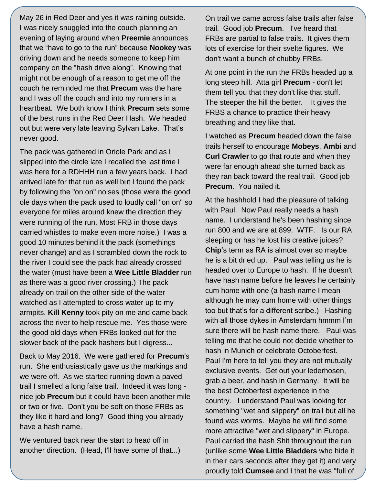May 26 in Red Deer and yes it was raining outside. I was nicely snuggled into the couch planning an evening of laying around when **Preemie** announces that we "have to go to the run" because **Nookey** was driving down and he needs someone to keep him company on the "hash drive along". Knowing that might not be enough of a reason to get me off the couch he reminded me that **Precum** was the hare and I was off the couch and into my runners in a heartbeat. We both know I think **Precum** sets some of the best runs in the Red Deer Hash. We headed out but were very late leaving Sylvan Lake. That's never good.

The pack was gathered in Oriole Park and as I slipped into the circle late I recalled the last time I was here for a RDHHH run a few years back. I had arrived late for that run as well but I found the pack by following the "on on" noises (those were the good ole days when the pack used to loudly call "on on" so everyone for miles around knew the direction they were running of the run. Most FRB in those days carried whistles to make even more noise.) I was a good 10 minutes behind it the pack (somethings never change) and as I scrambled down the rock to the river I could see the pack had already crossed the water (must have been a **Wee Little Bladder** run as there was a good river crossing.) The pack already on trail on the other side of the water watched as I attempted to cross water up to my armpits. **Kill Kenny** took pity on me and came back across the river to help rescue me. Yes those were the good old days when FRBs looked out for the slower back of the pack hashers but I digress...

Back to May 2016. We were gathered for **Precum**'s run. She enthusiastically gave us the markings and we were off. As we started running down a paved trail I smelled a long false trail. Indeed it was long nice job **Precum** but it could have been another mile or two or five. Don't you be soft on those FRBs as they like it hard and long? Good thing you already have a hash name.

We ventured back near the start to head off in another direction. (Head, I'll have some of that...) On trail we came across false trails after false trail. Good job **Precum**. I've heard that FRBs are partial to false trails. It gives them lots of exercise for their svelte figures. We don't want a bunch of chubby FRBs.

At one point in the run the FRBs headed up a long steep hill. Atta girl **Precum** - don't let them tell you that they don't like that stuff. The steeper the hill the better. It gives the FRBS a chance to practice their heavy breathing and they like that.

I watched as **Precum** headed down the false trails herself to encourage **Mobeys**, **Ambi** and **Curl Crawler** to go that route and when they were far enough ahead she turned back as they ran back toward the real trail. Good job **Precum**. You nailed it.

At the hashhold I had the pleasure of talking with Paul. Now Paul really needs a hash name. I understand he's been hashing since run 800 and we are at 899. WTF. Is our RA sleeping or has he lost his creative juices? **Chip**'s term as RA is almost over so maybe he is a bit dried up. Paul was telling us he is headed over to Europe to hash. If he doesn't have hash name before he leaves he certainly cum home with one (a hash name I mean although he may cum home with other things too but that's for a different scribe.) Hashing with all those dykes in Amsterdam hmmm I'm sure there will be hash name there. Paul was telling me that he could not decide whether to hash in Munich or celebrate Octoberfest. Paul I'm here to tell you they are not mutually exclusive events. Get out your lederhosen, grab a beer, and hash in Germany. It will be the best Octoberfest experience in the country. I understand Paul was looking for something "wet and slippery" on trail but all he found was worms. Maybe he will find some more attractive "wet and slippery" in Europe. Paul carried the hash Shit throughout the run (unlike some **Wee Little Bladders** who hide it in their cars seconds after they get it) and very proudly told **Cumsee** and I that he was "full of